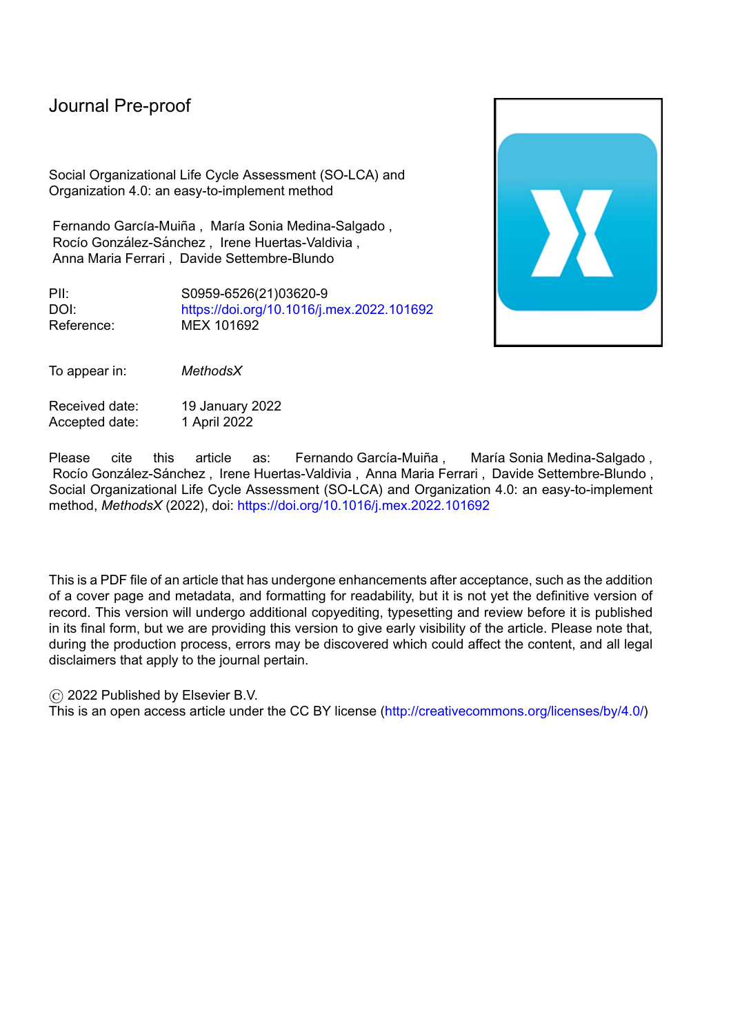# Journal Pre-proof

Social Organizational Life Cycle Assessment (SO-LCA) and Organization 4.0: an easy-to-implement method

Fernando García-Muiña, María Sonia Medina-Salgado, Rocío González-Sánchez, Irene Huertas-Valdivia, Anna Maria Ferrari , Davide Settembre-Blundo

PII: S0959-6526(21)03620-9 DOI: <https://doi.org/10.1016/j.mex.2022.101692> Reference: MEX 101692



To appear in: *MethodsX*

Received date: 19 January 2022 Accepted date: 1 April 2022

Please cite this article as: Fernando-García-Muiña , María-Sonia-Medina-Salgado , Rocío González-Sánchez, Irene Huertas-Valdivia, Anna Maria Ferrari, Davide Settembre-Blundo, Social Organizational Life Cycle Assessment (SO-LCA) and Organization 4.0: an easy-to-implement method, *MethodsX* (2022), doi: <https://doi.org/10.1016/j.mex.2022.101692>

This is a PDF file of an article that has undergone enhancements after acceptance, such as the addition of a cover page and metadata, and formatting for readability, but it is not yet the definitive version of record. This version will undergo additional copyediting, typesetting and review before it is published in its final form, but we are providing this version to give early visibility of the article. Please note that, during the production process, errors may be discovered which could affect the content, and all legal disclaimers that apply to the journal pertain.

© 2022 Published by Elsevier B.V.

This is an open access article under the CC BY license [\(http://creativecommons.org/licenses/by/4.0/\)](http://creativecommons.org/licenses/by/4.0/)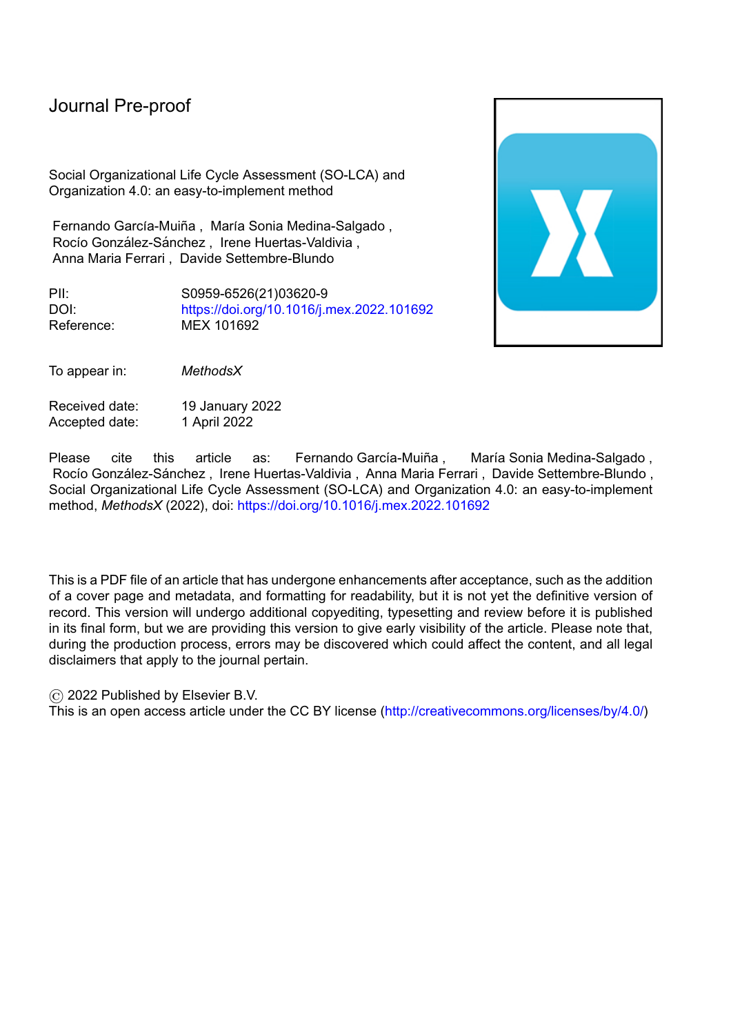# **Method Article – Title Page**

| <b>Title</b>                                                                                                                                          | Social Organizational Life Cycle Assessment (SO-LCA) and Organization 4.0:<br>an easy-to-implement method                                                                                                                                                                                                                                                                       |
|-------------------------------------------------------------------------------------------------------------------------------------------------------|---------------------------------------------------------------------------------------------------------------------------------------------------------------------------------------------------------------------------------------------------------------------------------------------------------------------------------------------------------------------------------|
| <b>Authors</b>                                                                                                                                        | Fernando García-Muiña <sup>(a)</sup> , María Sonia Medina-Salgado <sup>(a)</sup> , Rocío González-<br>Sánchez <sup>(a)</sup> , Irene Huertas-Valdivia <sup>(a)</sup> , Anna Maria Ferrari <sup>(b)</sup> , Davide Settembre-<br>Blundo <sup>*</sup> (a,c)                                                                                                                       |
| <b>Affiliations</b>                                                                                                                                   | Department of Business Administration (ADO), Applied Economics II and<br>(a)<br>Fundaments of Economic Analysis - Rey-Juan-Carlos University - 28032,<br>Madrid, Spain.<br>Department of Sciences and Methods for Engineering, University of<br>(b)<br>Modena and Reggio Emilia, 42122, Reggio Emilia, Italy<br>Gruppo Ceramiche Gresmalt S.p.A - 41049, Sassuolo, Italy<br>(c) |
| <b>Corresponding Author's email address</b>                                                                                                           | davide.settembre@urjc.es                                                                                                                                                                                                                                                                                                                                                        |
| <b>Keywords</b>                                                                                                                                       | Social sustainability<br>Social analysis<br>Stakeholder<br>Manufacturing<br>Social value chain                                                                                                                                                                                                                                                                                  |
| <b>Direct Submission or Co-Submission</b>                                                                                                             |                                                                                                                                                                                                                                                                                                                                                                                 |
| Co-submissions are papers that have been<br>submitted alongside an original research<br>paper accepted for publication by another<br>Elsevier journal | Co-Submission<br>10.1016/j.jclepro.2021.129439                                                                                                                                                                                                                                                                                                                                  |

#### **ABSTRACT**

Organizations often face difficulties when measuring their social performance. The lack of international standards, the qualitative/quantitative nature of data, and the unavailability of primary sources all hinder social impact assessments, especially in manufacturing settings. To fill these gaps, the method proposes a simple application protocol of Social Organizational Life Cycle Assessment (SO-LCA), customized for an Italian ceramic tile manufacturer. The method leverages Industry 4.0 digital technologies to collect real-time primary and site-specific social data, making the social assessment dynamic. The managerial approach adopted for the selection of social metrics and weighting of indicators and indexes, can support the transition of the manufacturing organization into Organization 4.0. The method also provides a contribution to the operational validation of the UNEP guidelines by extending their area of application. Finally, the proposed method gives substance to social responsibility through social accounting, helping the organization to measure the correct social impact starting from the detailed data, namely the decisions made in the business and in production.

> Social Organizational Life Cycle Assessment (SO-LCA) application protocol validated in Industry 4.0 environment.

> Social metrics directly linked to production and business processes for the dynamic assessment of social performance.

Easy replicability of the method in other organizational contexts.

### **SPECIFICATIONS TABLE**

| <b>Subject Area</b>                   | Economics and Finance                                                                                                                                                   |
|---------------------------------------|-------------------------------------------------------------------------------------------------------------------------------------------------------------------------|
| More specific subject area            | Social Sustainability Management                                                                                                                                        |
| <b>Method name</b>                    | Dynamic Social Organizational Life Cycle Assessment                                                                                                                     |
| Name and reference of original method | Guidelines for Social Life Cycle Assessment of Products and Organizations.<br>Achten et al. [3] United Nations Environment Programme (UNEP). Paris<br>$(2020)$ . p. 138 |
| Resource availability                 | <b>NA</b>                                                                                                                                                               |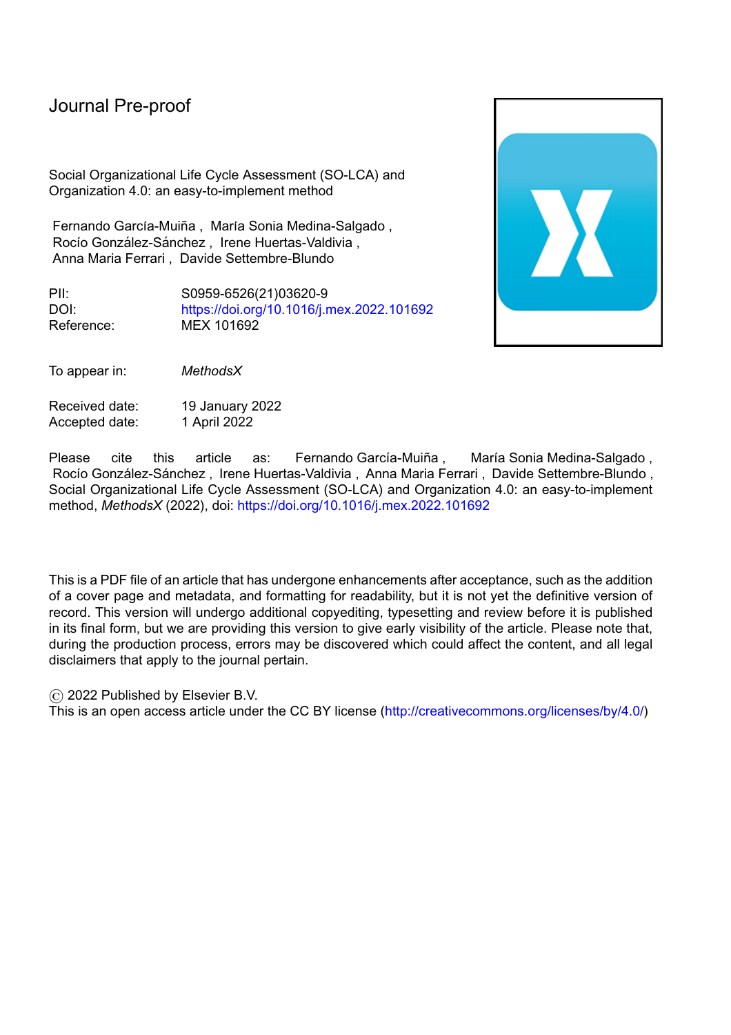#### *Methodological background*

Companies are increasingly interested in extending the analysis of the environmental impacts of products, services and processes, carried out through Life Cycle Assessment (LCA), to the social dimension. The Social Life Cycle Assessment (S-LCA) and Social Organizational Life Cycle Assessment (SO-LCA) methodologies respond to this need from the perspective of the product and the organization respectively [1]. While LCA is a well-established methodology, regulated by the ISO 14040 series of standards [2], and used in a wide variety of applications, S-LCA/SO-LCA are still in a methodological consolidation phase that follows the United Nations Environmental Programme (UNEP) Guidelines for the Social LCA of Products and Organizations [3].

S-LCA can be understood as a social assessment technique that aims to evaluate the social aspects of products and their potential positive and negative impacts (including potential impacts) throughout their life cycle: extraction, processing of raw materials, production, distribution, use, reuse, maintenance, recycling and disposal [4]. S-LCA can be applied alone or in combination with LCA, but it is important to note that, similar to LCA, it provides guidance on possible improvement actions but cannot determine whether a product is absolutely sustainable. [5]. In addition, it is necessary to consider that the viewpoint that S-LCA takes is that of companies wishing to reduce their social impacts, and thus, focuses on the impacts that they can reduce. The most recent literature, while recording numerous contributions of methodological applications and case studies, clearly highlights the difficulty in identifying social indicators at the product level, because social impacts usually occur at the organizational level [6]. Just to solve this critical issue, the UNEP guidelines also provide a general methodological approach for social assessment from an organizational perspective with SO-LCA [7]. However, there are still few studies in the literature that show applications of SO-LCA even in manufacturing. Therefore, the method that is proposed in this paper aims to bridge the aforementioned theoretical gaps by employing the digital technologies of Industry 4.0 as enablers of social assessment in an operational protocol for the effective implementation of SO-LCA [8]. Compared to the UNEP guidelines, the proposed method provides a concrete application example by identifying organization-specific stakeholder and impact subcategories. Thus, this is not only a validation in an operational environment of SO-LCA, but also a methodological extension of the social assessment framework provided in the guidelines.

#### *Methodological design*

The recently updated UNEP guidelines for S-LCA/SO-LCA provide a framework based on the ISO 14040 LCA standards of here follow the same four steps:

- 1. definition of the objective and scope of the analysis;
- 2. compilation of the inventory of inputs and outputs of the system analyzed;
- 3. assessment of the potential impact related to these inputs and outputs;
- 4. interpretation of the results.

In the background, it was highlighted how the assessment of social impacts is still an emerging research area in the manufacturing sector due to the difficulties in identifying social metrics linked to process variables. In order to fill this gap, the proposed method leverages Industry 4.0 digital technologies to automate phase two of the assessment (inventory analysis) by collecting social data in real time [9]. Therefore, the Dynamic SO-LCA method has been validated through the single case study approach [10] considering an Italian company at the forefront of digital transformation and manufacturer of ceramic tiles for building (Gruppo Ceramiche Gresmalt) [11].

# **SO-LCA METHOD DETAILS**

Below are sequentially described all the steps to apply the method in any organizational manufacturing context, consistent with the UNEP guidelines, but extending their application with a deeper level of detail. To this end, six categories and eight subcategories of social impact were identified, along with forty-seven social metrics combined into twenty-eight organization-specific indicators.

#### *Building the technical-scientific committee*

The application of SO-LCA requires the adoption of techniques typical of the social sciences, such as the setting up of a panel of experts of the organization to support the work of the analysts who are responsible for carrying out the social impact assessment. In this application case, 21 top positions have been selected among the board of directors and the top and middle management, as shown in Table 1 [12]. Within the organization analyzed, C-Level managers, while not having operational functions, play a role of major impact because they are directly responsible for the work performed and the results obtained by B-Level managers. Therefore, the composition of the technical-scientific Committee faithfully reflects the organization's decision-making chain. The experts on the committee represent the multiple functional areas of the organization in order to capture different perspectives on social issues.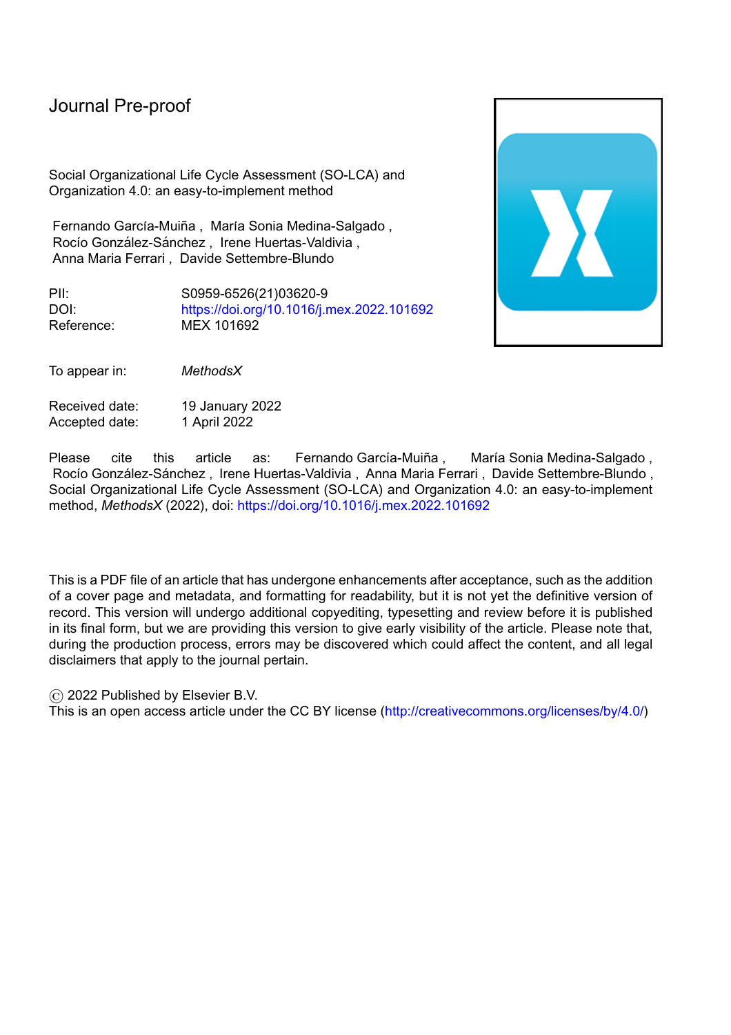# Composition of the technical-scientific committee, adapted from [12].

| <b>BUSINESS FUNCTION</b>  | <b>JOB POSITION</b>            |
|---------------------------|--------------------------------|
| <b>Board of Directors</b> | <b>Chief Executive Officer</b> |
|                           | Chief Financial Officer        |
| Top Management            | <b>B2B Sales Director</b>      |
| (C-Level)                 | <b>B2C Sales Director</b>      |
|                           | <b>Technical Director</b>      |
|                           | Procurement Manager            |
|                           | <b>Sourcing Manager</b>        |
|                           | <b>Innovation Manager</b>      |
|                           | <b>Marketing Manager</b>       |
|                           | Administrative Manager         |
|                           | <b>Controller Manager</b>      |
|                           | <b>HR Manager</b>              |
| Management                | <b>IT Manager</b>              |
| (B-Level)                 | <b>Credit Manager</b>          |
|                           | Logistic Manager               |
|                           | <b>Security Manager</b>        |
|                           | <b>Quality Manager</b>         |
|                           | R&D Manager                    |
|                           | Plant Manager 1                |
|                           | Plant Manager 2                |
|                           | Plant Manager 3                |

This methodological approach assumes that multiple experts can provide a better evaluation than a single specialist could. The experts are called upon to express their opinions and views. based on their experience and knowledge of the organization, on the subjective choices that social assessment necessarily requires. The analysts conducting the social evaluation have to gather opinions on each methodological issue and, through mutual comparison and progressive sharing, arrive at a holistic synthesis in accordance with social constructivism [13].

# *Goal and scope definition*

**Table 1**

This method aims to describe the implementation of social impact assessment of a manufacturing organization that produces ceramic tiles. This organization is structured in three plants, and one headquarters. The method involves the use of exclusive primary data collected in real time through the digitalization of production and business processes. The reporting organization was chosen as the unit of analysis by setting the boundaries of the system "*from cradle to grave*", in accordance with the UNEP guidelines for SO-LCA. [3].

At this stage of the analysis. it is also necessary to identify and categorize stakeholders that are potentially key to the organization. The UNEP guidelines set out six main stakeholder categories (workers, local community, society, consumers, value chain actors and children). with six corresponding impact categories (human rights, working conditions, health and safety, cultural heritage, governance and socio-economic impacts) associated with them. Because this method aims to use organization-specific social metrics and primary data only, the choice of key stakeholders must represent the real value chain. The guidelines allow for customization of stakeholder selection criteria and for defining the most appropriate impact categories for social assessment.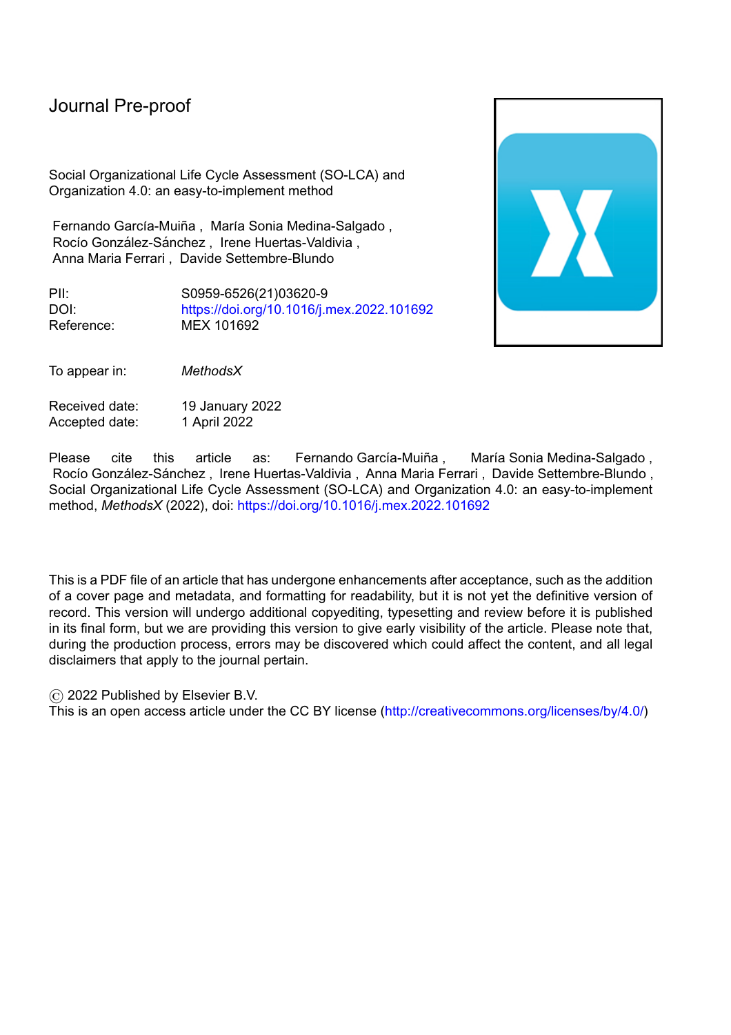# **Table 2**

Framework for the selection and ranking of Stakeholders and impact categories, adapted from [8].

| <b>STAKEHOLDER CATEGORIES</b> | <b>IMPACT CATEGORIES</b>  | STAKEHOLDER SUBCATEGORIES           | <b>IMPACT SUBCATEGORIES</b>          | <b>STAKEHOLDER DETAILS</b>                                   |
|-------------------------------|---------------------------|-------------------------------------|--------------------------------------|--------------------------------------------------------------|
|                               |                           |                                     | A1.Human Rights                      | 1.1.1 Blue-collar Workers                                    |
|                               |                           | 1.1 Staff Personnel                 |                                      | 1.1.2 Employees                                              |
| 1. Workers                    | A.Human Capital           |                                     | A2. Health & Safety                  | 1.1.3 Managers                                               |
|                               |                           |                                     |                                      | 1.1.4 Top Management<br>1.2.1 Confederal Trade Unions        |
|                               |                           | 1.2 Trade Unions                    | A3. Working Conditions               |                                                              |
|                               |                           |                                     |                                      | 1.2.2 Independent Trade Unions<br>2.1.1 Regional Governments |
|                               |                           | 2.1 Local Institutions              | <b>B1.Local Expectations</b>         | 2.1.2 Provincial Governments                                 |
| 2. Local Community            |                           |                                     |                                      | 2.1.3 Municipalities                                         |
|                               |                           |                                     |                                      | 3.1.1 Regulatory Authorities                                 |
|                               |                           |                                     |                                      | 3.1.2 Research Community                                     |
|                               | <b>B.Social Capital</b>   | 3.1 Public and Private Organization | <b>B2.Institutional Expectations</b> | 3.1.3 National and International Public Institutions         |
|                               |                           |                                     |                                      | 3.1.4 Civil Society Organizations                            |
|                               |                           |                                     |                                      | 3.2.1 Newspapers                                             |
|                               |                           | 3.2 Media                           | <b>B3.Corporate Reputation</b>       | 3.2.2 Professional Magazines                                 |
| 3.Society                     |                           |                                     |                                      | 3.2.3 TV and Radio                                           |
|                               |                           |                                     |                                      | 3.2.4 Internet                                               |
|                               | <b>C.Natural Capital</b>  | 3.3 Environmental                   |                                      | 3.3.1 Atmosphere                                             |
|                               |                           |                                     |                                      | 3.3.2 Hydrosphere                                            |
|                               |                           |                                     | <b>C1.Environmental Footprint</b>    | 3.3.3 Lithosphere                                            |
|                               |                           |                                     |                                      | 3.3.4 Biosphere                                              |
|                               |                           |                                     |                                      | 3.3.5 Future Generations                                     |
|                               | <b>D.Economic Capital</b> |                                     |                                      | 4.1.1 Resellers                                              |
|                               |                           | 4.1 Trade Channel Operators         |                                      | 4.1.2 Trading Partners                                       |
| 4.Consumers                   |                           |                                     | <b>D1.Customer Expectations</b>      | 4.1.3 Business Customers                                     |
|                               |                           | 4.2 Final Consumer                  |                                      | 4.2.1 Private Customers                                      |
|                               |                           |                                     |                                      | 4.2.2 Consumers Associations                                 |
|                               |                           |                                     |                                      | 5.1.1 Company's Shareholders                                 |
|                               |                           | 5.1 Private Business                | D2. Private Expectations             | 5.1.2 Association of Manufacturing and Service Companies     |
|                               |                           |                                     |                                      | 5.1.3 Chambers of Commerce                                   |
|                               |                           |                                     |                                      | 5.2.1 Large-Scale Suppliers (Key Suppliers)                  |
| 5. Value Chain Actors         | D.Economic Capital        | 5.2 Suppliers                       |                                      | 5.2.2 Small-Scale Suppliers                                  |
|                               |                           |                                     |                                      | 5.2.3 Local Suppliers                                        |
|                               |                           | 5.3 Partners                        | <b>D3.Ethical Behavior</b>           | 5.3.1 Practitioners and Professionals                        |
|                               |                           | 5.4 Competitors                     |                                      | 5.4.1 Direct Competitors                                     |
|                               |                           |                                     |                                      | 5.4.2 Indirect Competitors                                   |
|                               |                           |                                     |                                      |                                                              |

Table 2 shows the framework for categorizing stakeholders and impact categories for Dynamic SO-LCA. The category of children was not included because it was considered irrelevant to the manufacturing dimensions of the value chain of the organization undergoing this social assessment. For the impact categories in this method the four capitals (human, social, natural and economic) are proposed in accordance with the theory of capitals for sustainability [14] and sustainable development [15]. Then, for each impact category, several stakeholder sub-categories associated with additional impact sub-categories were identified. The criterion followed in choosing the sub-categories of stakeholders was that of representing, as fully as possible, the organization's value chain with data coming only from primary sources. Among these, category *3.Society* included subcategory *3.3 Environment*, to provide the method with a direct link to the environmental assessment that could be conducted in parallel with the social one. Finally, the Stakeholder Details shows all those stakeholders who are specific to the organization under analysis and to whom it is possible to relate social metrics to measure impact based on primary data sources.

### *Inventory analysis*

The first step in inventory analysis is to identify the social metrics through which to conduct the social assessment. They must be specific and characteristic of the organization and must also be directly and easily measurable in order to have the primary data as set by the goal for this model of analysis. To this end, the technical-scientific committee (Table 1) has identified and chosen a series of metrics that meet the methodological requirements set, correlating them with the categories of stakeholders and social impact through a matrix (Table 3).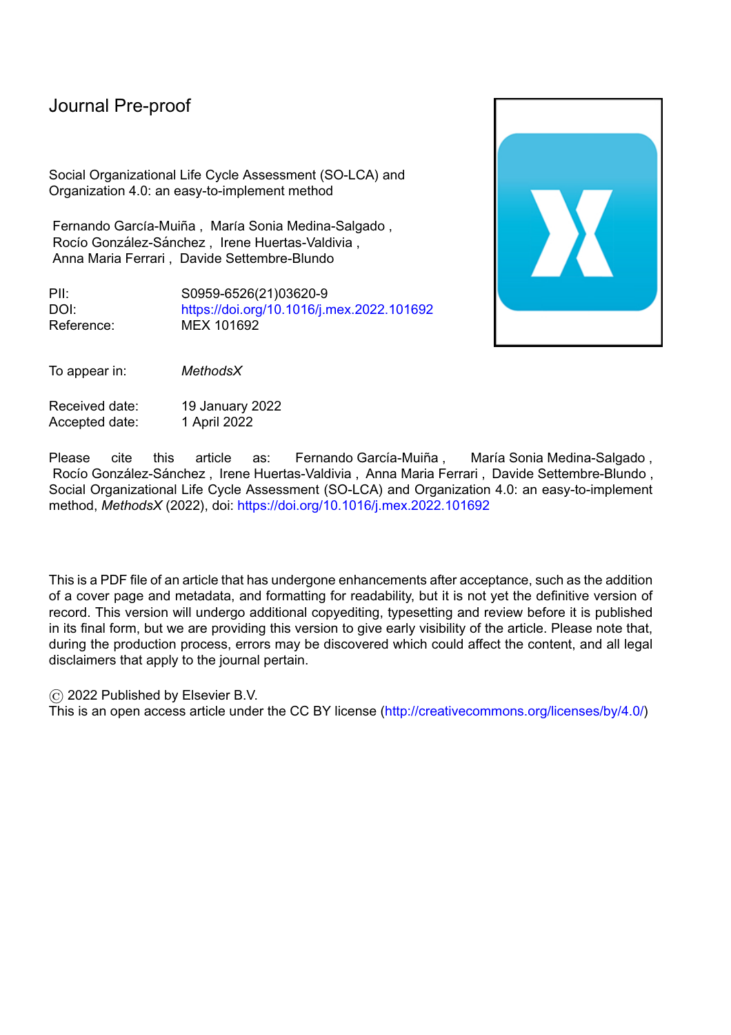| Journal Pre-proof                                                                                                                                                                                                                                                                                                                                        |                                                                                                                               |                                                                                                                                                                                                                                                                                      |                                                          |                                                                                                                                         |                                                                                                                                                                                                                                                                                                                                    |  |  |  |
|----------------------------------------------------------------------------------------------------------------------------------------------------------------------------------------------------------------------------------------------------------------------------------------------------------------------------------------------------------|-------------------------------------------------------------------------------------------------------------------------------|--------------------------------------------------------------------------------------------------------------------------------------------------------------------------------------------------------------------------------------------------------------------------------------|----------------------------------------------------------|-----------------------------------------------------------------------------------------------------------------------------------------|------------------------------------------------------------------------------------------------------------------------------------------------------------------------------------------------------------------------------------------------------------------------------------------------------------------------------------|--|--|--|
| <b>A Human Capital</b>                                                                                                                                                                                                                                                                                                                                   | <b>B. Social Capital</b>                                                                                                      | <b>B. Social Capital</b>                                                                                                                                                                                                                                                             | <b>C. Natural Capital</b>                                | <b>D. Economic Capital</b>                                                                                                              | <b>D. Economic Capital</b>                                                                                                                                                                                                                                                                                                         |  |  |  |
| MA1.1 Total workforce<br>MA1.2 Women workers<br>MA1.3 Children workers<br>MA1.4 Forced workers<br>MA1.5 Migrant workers<br>MA1.6 Hours worked<br>MA1.7 N° of injuries<br>MA1.8 N° of PPEs<br>MA1.9 N° CBA<br>MA1.10 Man-Hours overtime<br>MA1.11 Man-Hours worked<br>MA1.12 Full-time permanent staff<br>MA1.13 Local workforce<br>MA1.14 Training hours | MB2.<br>Stakeholders mapped<br>Stakeholders engaged<br>MB2.2<br>MB2.3 N° local governments<br>MB2.4 Local governments engaged | Man-Hours of scientists<br>MB3.1<br>MB3.2 Man-Hours into R&D&I<br>MB3.4 Authorities engaged<br>MB3.5 N° of Regulatory Authorities<br>MB3.6 Corporate Likes<br>MB3.7 Corporate Followers<br>MB3.8 B2B Likes<br>MB3.9 B2B Followers<br>MB3.10 <b>B2C Likes</b><br>MB3.11 B2C Followers | MC3.1<br><b>Organizational GWP</b><br>MC3.2 Industry GWP | B2B Non-compliance costs<br>MD4.1<br>MD4.2 B2B Turnover<br>MD4.3 B2C Non-compliance costs MD5.3 R&D&I Investments<br>MD4.4 B2C Turnover | VID5.1 Researchers staff<br>MD5.2 Innovators staff<br>MD5.4 Total Investments<br>MD5.5 N°. of approved orders<br>MD5.6 N°. of total orders<br>MD5.7 Ethical Key Suppliers<br>MD5.8 Total Key Suppliers<br>MD5.9 Local Suppliers<br>MD5.10 Total Suppliers<br>Local Suppliers Turnover<br>MD5.11<br>MD5.12 Total Suppliers Turnover |  |  |  |
| <b>1. WORKERS</b>                                                                                                                                                                                                                                                                                                                                        | <b>2. LOCAL COMMUNITYS</b>                                                                                                    | 3.SOCIETY                                                                                                                                                                                                                                                                            | 3.SOCIETY                                                | <b>4. CONSUMERS</b>                                                                                                                     | <b>5. VALUE CHAIN ACTORS</b>                                                                                                                                                                                                                                                                                                       |  |  |  |
|                                                                                                                                                                                                                                                                                                                                                          | STAKEHOLDER CATEGORIES                                                                                                        |                                                                                                                                                                                                                                                                                      |                                                          |                                                                                                                                         |                                                                                                                                                                                                                                                                                                                                    |  |  |  |

The stakeholder category *1.Workers* corresponds to the impact *A.Human Capital* and consists of fourteen metrics related to human resources. These include the number of Personal Protective Equipments (PPEs) provided to employees over the time considered (MA1.8) and the number of Collective Bargaining Agreements (CBAs), (MA1.9). The *2.Local Community* category, correlated to the *B.Social Capital* impact, considers both, more generally, the stakeholders selected (MB2.1) and those involved by the organization (MB2.2), and specifically, the local administrations identified (MB2.3) and directly involved in the company's activities (MB2.4). Still linked to the impact of *B.Social Capital* is the category *3.Society,* which includes various metrics, including man-hours dedicated to research, development and innovation (MB3.2) and man-hours worked by scientists from research centers and universities that collaborate with the organization in joint research projects. Then the Regulatory Authorities involved (MB3.4) and those directly involved (MB3.5) are considered. Finally, to measure the effect of social networks on the reputation of the organization, both the number of followers and likes received for posts on corporate and commercial profiles, both business-to-business (B2B) and business-to-consumer (B2C), were included. The environment was introduced as a stakeholder in the *3.Society* category, associating it with the impact category *C.Natural Capital* and adopting as metrics the Global Warming Potential (GWP) of the organization (MC3.1) and that of the sector (MC3.2), *4.Consumers* has been associated with impact category *D.Economic Capital,* considering both non-compliance costs and turnover generated in business-to-business and business-to-consumer channels. Finally, again among the economic metrics (*D.Economic Capital*) characteristic of the *5.Value Chain Actors* category, human resources dedicated to research and innovation, the amount of investment and the way purchase orders are approved were included. Relevance is also attributed to suppliers who are categorized, as key, local and ethical if they have signed the organization's code of ethics.

This application method of SO-LCA is based on Dynamic Inventory Analysis (DIA) which, by exploiting the potential of Industry 4.0 digital technologies, makes the collection of primary social data from the organization an automatic process (Figure 1). The data for the social impact assessment comes from both the production units (factories) and the headquarters. The technological hub of the method is the ERP (Enterprise Resource Planning) system, it collects both production information coming from the factories through a MES (Manufacturing Execution System) and management information exploiting a Business Data Base which also provides data from the value chain (suppliers. distributors and customers). Finally, a Business Intelligence (BI) system interfaces the ERP with the SO-LCA calculation tool.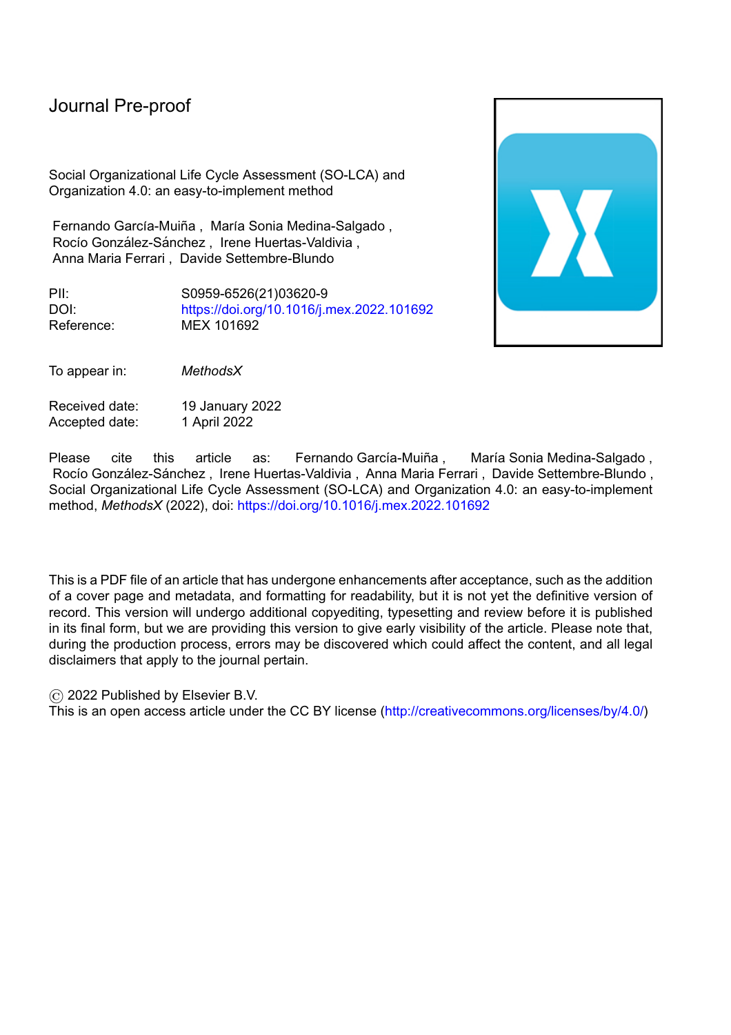

Factory 4.0 is an environment in which the physical and digital dimensions are interconnected, enabling multi-directional communication between production processes and products in real time. The MES in Factory 4.0 allows to collect data from different sources and on these to carry out analysis. Business 4.0 is the extension of the Industry 4.0 paradigm to the corporate governance, providing a framework of business behavior that optimizes the digital advantage to create value for stakeholders. Digital technologies therefore enable the collection not only of factory data, but also, those closely related to business processes and representing the organization's value chain: suppliers, customers, human resources, investors, institutions, etc. This information is collected in a Business Data Base which, together with the MES, communicates with the ERP transferring also the data necessary for the social evaluation. As a calculation tool for the SO-LCA was used a Microsoft Excel® multiple spreadsheet ( @ Kook a eÁ α \* læ å k ão ko AOÜÚA Ù ŒUT Do ca \ • At AT ak [ • [ - aÚ [ . ^ l AÓ Q used as a business intelligence system. Organization 4.0 is a dynamic configuration that makes social data available in real time thus enabling the social impact assessment as it occurs. This is an innovative approach compared to conventional social assessments that instead rely on data corresponding to conditions and states that have already been experienced.

This Dynamic Inventory Analysis scheme, of course, can be easily applied in those organizations that have already achieved a high rate of digitalization of their processes. In other cases, however, the model can be easily implemented through a more traditional analogical data collection by analyzing specific time periods such as one or more years already passed.

# *Social impact assessment*

To perform the impact analysis, the 46 social metrics already selected were combined into 28 organization-specific social impact indicators as shown in Table 4. In the SO-LCA methodology, impact assessment is sought through the effects that the organization's activities have on its stakeholders and to this end, indicators were associated with both endpoint impact categories and midpoint impact subcategories [16].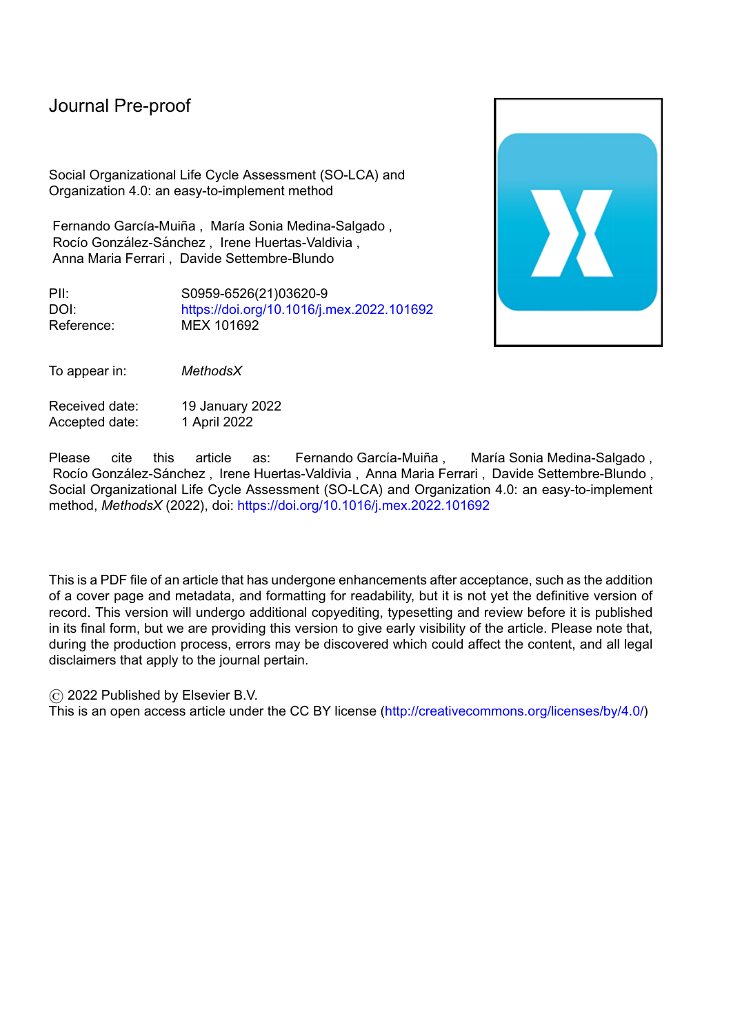# Description of Social Indicators and the Social Social Sustainability, and  $\overline{\text{B}}$

|                               | <b>ENDPOINT</b>          |                                            | <b>MIDPOINT</b>                 | SOCIAL IMPACT ASSESSMET INDICATORS              |                                          |                                                               |                                     |  |  |  |
|-------------------------------|--------------------------|--------------------------------------------|---------------------------------|-------------------------------------------------|------------------------------------------|---------------------------------------------------------------|-------------------------------------|--|--|--|
| <b>STAKEHOLDER CATEGORIES</b> | <b>IMPACT CATEGORIES</b> | <b>STAKEHOLDER</b><br><b>SUBCATEGORIES</b> | <b>IMPACT SUBCATEGORIES</b>     | <b>SOCIAL INDICATORS</b>                        | <b>RATIO OF SOCIAL</b><br><b>METRICS</b> | <b>INDICATORS DESCRIPTION</b>                                 | SOCIAL POSITIVE<br><b>INFLUENCE</b> |  |  |  |
|                               |                          |                                            |                                 | SI-A1.1 Gender Equality                         | MA1.2/MA1.                               | (N° of women) / (Total workforce)                             | <b>INCREASE</b>                     |  |  |  |
|                               |                          |                                            | <b>A1.Human Rights</b>          | SI-A1 2 Childhood Workforce                     | MA1.3/MA1                                | (N° of children) / (Total workforce)                          | <b>DECREASE</b>                     |  |  |  |
|                               |                          | 1.1 Staff Personnel                        |                                 | SI-A1.3 Forced Labour                           | MA1.4/MA1.                               | (N <sup>*</sup> of forced labour workers) / (Total workforce) | <b>DECREASE</b>                     |  |  |  |
|                               |                          |                                            |                                 | SI-A1 4 Migrant Worker                          | MA1.5/MA1.1                              | (N° of migrant workers) / (Total workforce)                   | <b>INCREASE</b>                     |  |  |  |
|                               |                          |                                            | A2. Health & Safety             | SI-A2.1 Lost Time Injury Frequency Rate (LTIFR) | (MA1.7x10 <sup>6</sup> )/MA1.            | (N° of injuries x 1,000,000) / (Hours worked)                 | <b>DECREASE</b>                     |  |  |  |
| <b>1. WORKERS</b>             | A.Human Capital          |                                            |                                 | SI-A2 2 Personal Protective Equipments (PPEs)   | MA1.8/MA1.                               | (N° of PPEs) / (Total workforce)                              | <b>INCREASE</b>                     |  |  |  |
|                               |                          |                                            |                                 | SI-A3.1 Collective Bargaining Agreement (CBA)   | MA1.9/MA1.                               | (N° CBA) / (Total workforce)                                  | <b>INCREASE</b>                     |  |  |  |
|                               |                          |                                            |                                 | SI-A3.2 Overtime Working Hours                  | MA1.10/MA1.6                             | (Man-Hours overtime) / (Hours worked)                         | <b>DECREASE</b>                     |  |  |  |
|                               |                          | 1.2 Trade Unions                           | <b>A3. Working Conditions</b>   | SI-A3.3 Full-time Staff                         | MA1.12/MA1.1                             | (Full-time staff) / (Total workforce)                         | <b>INCREASE</b>                     |  |  |  |
|                               |                          |                                            |                                 | SI-A3 4 Local Workforce                         | MA1.13/MA1                               | (Local workforce) / (Total workforce)                         | <b>INCREASE</b>                     |  |  |  |
|                               |                          |                                            |                                 | SI-A3.5 Training                                | MA1.14/MA1.6                             | (Training hours) / (Hours worked)                             | <b>INCREASE</b>                     |  |  |  |
|                               |                          |                                            |                                 | SI-B1.1 Stakeholders Engagement                 | MB2.2/MB2.1                              | (Stakeholders engaged / Stakeholders mapped)                  | <b>INCREASE</b>                     |  |  |  |
| <b>2. LOCAL COMMUNITY</b>     |                          | 2.1 Local Institutions                     | <b>B1.Local Expectations</b>    | SI-B1.2 Public Engagement                       | MB2.4/MB2.                               | (Local governments engaged / N° local governments)            | <b>INCREASE</b>                     |  |  |  |
|                               |                          | 3.1 Public and Private                     | <b>B2.Institutional</b>         | SI-B2 1 University Engagement                   | MB3.1/MB3.2                              | (Man-Hours of scientists) / (Man-Hours into R&D&I)            | <b>INCREASE</b>                     |  |  |  |
|                               | <b>B.Social Capital</b>  | <b>Organization</b>                        | <b>Expectations</b>             | SI-B2.2 Requlatory Authorities Engagement       | MB3.4/MB3.5                              | (Authorities engaged) / (N° of Regulatory Authorities)        | <b>INCREASE</b>                     |  |  |  |
|                               |                          |                                            |                                 | SI-B3.1 Corporate Social Media Engagement       | MB3.7/MB3.6                              | (Corporate Followers / Corporate Likes)                       | <b>INCREASE</b>                     |  |  |  |
| 3. SOCIETY                    |                          | 3.2 Media                                  | <b>B3.Corporate Reputation</b>  | SI-B3.2 B2B Social Media Engagement             | MB3.9/MB3.8                              | (B2B Followers / B2B Likes)                                   | <b>INCREASE</b>                     |  |  |  |
|                               |                          |                                            |                                 | SI-B3.3 B2C Social Media Engagement             | MB3.11/MB3.10                            | (B2C Followers / B2C Likes)                                   | <b>INCREASE</b>                     |  |  |  |
|                               | C. Natural Capital       | 3.3 Environmental                          | C1. Carbon Footprint            | SI-C1.1 Global Warming Potential (GWP)          | MC3.1/MC3.2                              | (Organizational GWP / Industry GWP)                           | <b>DECREASE</b>                     |  |  |  |
|                               |                          | <b>4.1 Trade Channel</b>                   |                                 | SI-D1.1 B2B Non-compliance                      | MD4.1/MD4.2                              | (B2B non-compliance costs) / (B2B turnover)                   | <b>DECREASE</b>                     |  |  |  |
| <b>4. CONSUMERS</b>           |                          | <b>4.2 Final Consumer</b>                  | <b>D1.Customer Expectations</b> | SI-D1.2 B2C Non-compliance                      | MD4 3/MD4 4                              | (B2C non-compliance costs) / (B2C turnover)                   | <b>DECREASE</b>                     |  |  |  |
|                               |                          |                                            |                                 | SI-D2.1 HR-based R&D Workforce                  | MD5.1/MA1.                               | (Researchers staff) / (Total workforce)                       | <b>INCREASE</b>                     |  |  |  |
|                               |                          | <b>5.1 Private Business</b>                | <b>D2.Private Expectations</b>  | SI-D2 2 HR-based Innovation Workforce           | MD5.2/MA1.                               | (Innovators staff) / (Total workforce)                        | <b>INCREASE</b>                     |  |  |  |
| <b>5. VALUE CHAIN</b>         | D.Economic Capital       |                                            |                                 | SI-D2.3 R&D & Innovation                        | MD5.3/MD5.                               | (R&D&I, Invest.) / (Total invest.)                            | <b>INCREASE</b>                     |  |  |  |
|                               |                          |                                            |                                 | SI-D3.1 Order Approval Manager                  | MD5.5/MD5.6                              | (N°. of approved orders / N°. of total orders)                | <b>INCREASE</b>                     |  |  |  |
| <b>ACTORS</b>                 |                          |                                            |                                 | SI-D3.2 Ethical Key Suppliers                   | MD5.7/MD5.8                              | (Ethical Key Suppliers / Total Key Suppliers)                 | <b>INCREASE</b>                     |  |  |  |
|                               |                          | 5.2 Suppliers                              | <b>D3. Ethical Behavior</b>     | SI-D3.3 Local Suppliers                         | MD5.9/MD5.10                             | (Local Suppliers / Total Suppliers)                           | <b>INCREASE</b>                     |  |  |  |
|                               |                          |                                            |                                 | SI-D3 4 Local Suppliers Turnover                | MD5.11/MD5.                              | (Local Suppliers Turnover / Total Suppliers Turnover)         | <b>INCREASE</b>                     |  |  |  |

In order to facilitate the association of social metrics and indicators to the different impact categories and sub-categories, an alphanumeric coding was adopted in this method, as shown in Table 4, which allows to trace the construction of indicators and their correspondence with stakeholders. Combining the metrics with each other, as proposed, is intended to have social indicators specific to the manufacturing organization. In addition, to facilitate visual association between indicators and impact categories and subcategories and stakeholder categories and subcategories, four different colors were adopted to identify the four capitals considered (human, social, natural, and economic). Since social metrics contribute in different ways to social sustainability, the measurement of indicators must consider this and, therefore for each of them, it was specified whether the increase or decrease in their value corresponds to a positive or negative social effect.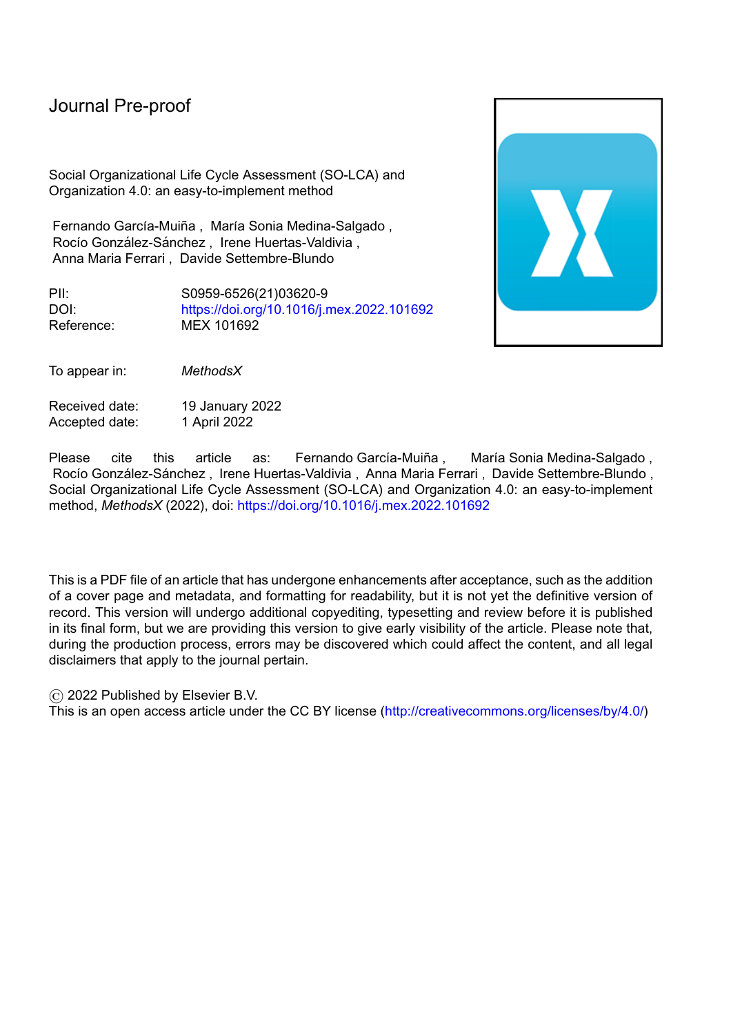#### proo<sup>.</sup> Evaluation and rating of Social Indicators, and Indicators, adapted from  $\sim$

|           | SOCIAL IMPACT ASSESSMET INDICATORS       | <b>VALUE</b> | <b>RATING</b>    | 0.2              | 0.4              | 0.6              | 0.8              | 1.0              |
|-----------|------------------------------------------|--------------|------------------|------------------|------------------|------------------|------------------|------------------|
| $SI-A1.1$ | <b>Gender Equality</b>                   | 0.4          | 0.8              | $0.0 \div 0.1$   | $0.1 \div 0.2$   | $0.2 \div 0.3$   | $0.3 \div 0.4$   | $0.4 \div 0.5$   |
| $SI-A1.2$ | <b>Childhood Workforce</b>               | 1.0          | 1.0              | < 0.99           | $\prime$         | $\prime$         | $\prime$         | 1.00             |
| $SI-A1.3$ | <b>Forced Labour</b>                     | 1.0          | 1.0              | < 0.99           | $\prime$         | $\prime$         | $\prime$         | 1.00             |
| $SI-A1.4$ | Migrant Worker                           | 0.0          | 0.8              | 0.00             | < 0.01           | $0.0 \div 0.01$  | $0.01 \div 0.1$  | > 0.1            |
| $SI-A2.1$ | Lost Time Injury Frequency Rate (LTIFR)  | 0.7          | 0.8              | $0.0 \div 0.2$   | $0.2 \div 0.4$   | $0.4 \div 0.6$   | $0.6 \div 0.8$   | $0.8 \div 1.0$   |
| $SI-A2.2$ | Personal Protective Equipments (PPEs)    | 0.4          | 0.6              | $0.0 \div 0.2$   | $0.2 \div 0.4$   | $0.4 \div 0.6$   | $0.6 \div 0.8$   | $0.8 \div 1.0$   |
| $SI-A3.1$ | Collective Bargaining Agreement (CBA)    | 1.0          | 1.0              | $0.0 \div 0.2$   | $0.2 \div 0.4$   | $0.4 \div 0.6$   | $0.6 \div 0.8$   | $0.8 \div 1.0$   |
| $SI-A3.2$ | Overtime Working Hours                   | 1.0          | 1.0              | $0.0 \div 0.2$   | $0.2 \div 0.4$   | $0.4 \div 0.6$   | $0.6 \div 0.8$   | $0.8 \div 1.0$   |
| $SI-A3.3$ | <b>Full-time Staff</b>                   | 1.0          | 1.0              | $0.0 \div 0.2$   | $0.2 \div 0.4$   | $0.4 \div 0.6$   | $0.6 \div 0.8$   | $0.8 \div 1.0$   |
| $SI-A3.4$ | Local Workforce                          | 1.0          | 1.0              | $0.0 \div 0.2$   | $0.2 \div 0.4$   | $0.4 \div 0.6$   | $0.6 \div 0.8$   | $0.8 \div 1.0$   |
| $SI-A3.5$ | Training                                 | 0.01         | 0.2              | $0.0 \div 0.01$  | $0.01 \div 0.02$ | $0.02 \div 0.03$ | $0.03 \div 0.04$ | $0.04 \div 0.05$ |
| $SI-B1.1$ | Stakeholders Engagement                  | 0.8          | 0.8              | $0.0 \div 0.2$   | $0.2 \div 0.4$   | $0.4 \div 0.6$   | $0.6 \div 0.8$   | $0.8 \div 1.0$   |
| SI-B1.2   | <b>Public Engagement</b>                 | 1.0          | 1.0              | $0.0 \div 0.2$   | $0.2 \div 0.4$   | $0.4 \div 0.6$   | $0.6 \div 0.8$   | $0.8 \div 1.0$   |
| $SI-B2.1$ | <b>University Engagement</b>             | 0.7          | 0.8              | $0.0 \div 0.2$   | $0.2 \div 0.4$   | $0.4 \div 0.6$   | $0.6 \div 0.8$   | $0.8 \div 1.0$   |
| $SI-B2.2$ | <b>Regulatory Authorities Engagement</b> | 0.8          | 0.8              | $0.0 \div 0.2$   | $0.2 \div 0.4$   | $0.4 \div 0.6$   | $0.6 \div 0.8$   | $0.8 \div 1.0$   |
| SI-B3.1   | Corporate Social Media Engagement        | 0.7          | 0.8              | $0.0 \div 0.2$   | $0.2 \div 0.4$   | $0.4 \div 0.6$   | $0.6 \div 0.8$   | $0.8 \div 1.0$   |
| SI-B3.2   | <b>B2B Social Media Engagement</b>       | 0.5          | 0.6              | $0.0 \div 0.2$   | $0.2 \div 0.4$   | $0.4 \div 0.6$   | $0.6 \div 0.8$   | $0.8 \div 1.0$   |
| SI-B3.3   | <b>B2C Social Media Engagement</b>       | 0.1          | 0.2              | $0.0 \div 0.2$   | $0.2 \div 0.4$   | $0.4 \div 0.6$   | $0.6 \div 0.8$   | $0.8 \div 1.0$   |
| SI-C1.1   | Global Warming Potential (GWP)           | 0.8          | 0.8              | $0.0 \div 0.2$   | $0.2 \div 0.4$   | $0.4 \div 0.6$   | $0.6 \div 0.8$   | $0.8 \div 1.0$   |
| $SI-D1.1$ | <b>B2B Non-compliance</b>                | 1.0          | 1.0              | $0.0 \div 0.2$   | $0.2 \div 0.4$   | $0.4 \div 0.6$   | $0.6 \div 0.8$   | $0.8 \div 1.0$   |
| $SI-D1.2$ | <b>B2C Non-compliance</b>                | 1.0          | 1.0              | $0.0 \div 0.2$   | $0.2 \div 0.4$   | $0.4 \div 0.6$   | $0.6 \div 0.8$   | $0.8 \div 1.0$   |
| $SI-D2.1$ | HR-based R&D Workforce                   | 0.06         | 0.6              | $0.01 \div 0.02$ | $0.02 \div 0.04$ | $0.04 \div 0.06$ | $0.06 \div 0.08$ | $0.08 \div 0.10$ |
| $SI-D2.2$ | <b>HR-based Innovation Workforce</b>     | 0.02         | 0.2              | $0.01 \div 0.02$ | $0.02 \div 0.04$ | $0.04 \div 0.06$ | $0.06 \div 0.08$ | $0.08 \div 0.10$ |
| $SI-D2.3$ | <b>R&amp;D &amp; Innovation</b>          | 0.7          | 0.8              | $0.0 \div 0.2$   | $0.2 \div 0.4$   | $0.4 \div 0.6$   | $0.6 \div 0.8$   | $0.8 \div 1.0$   |
| $SI-D3.1$ | Order Approval Manager                   | 0.5          | $\overline{0.6}$ | $0.0 \div 0.2$   | $0.2 \div 0.4$   | $0.4 \div 0.6$   | $0.6 \div 0.8$   | $0.8 \div 1.0$   |
| $SI-D3.2$ | <b>Ethical Key Suppliers</b>             | 0.6          | 0.6              | $0.0 \div 0.2$   | $0.2 \div 0.4$   | $0.4 \div 0.6$   | $0.6 \div 0.8$   | $0.8 \div 1.0$   |
| $SI-D3.3$ | <b>Local Suppliers</b>                   | 1.0          | 1.0              | $0.0 \div 0.2$   | $0.2 \div 0.4$   | $0.4 \div 0.6$   | $0.6 \div 0.8$   | $0.8 \div 1.0$   |
| $SI-D3.4$ | <b>Local Suppliers Turnover</b>          | 0.8          | 0.8              | $0.0 \div 0.2$   | $0.2 \div 0.4$   | $0.4 \div 0.6$   | $0.6 \div 0.8$   | $0.8 \div 1.0$   |

# *Method validation*

To validate the method, a series of dynamic data collections were performed (as described in Figure 1) on a daily basis during the month of November 2021, which was a period of full activity for the organization and therefore representative for the social assessment. This screening showed that, under stable operating conditions, the value assumed by the social metrics are constant, so to calculate the social indicators in Table 4, their values were averaged. The absolute values of the social metrics are not reported because they are sensitive data for the organization under analysis. Instead. the values taken by the social indicators are shown in the form of a metrics ratio, as shown in Table 5.

Since the indicators, depending on the case, can describe a positive social contribution either when they take on a high or low value, the method provides for their standardization to facilitate their reading and analysis. In accordance with the UNEP guidelines for S-LCA [3] and the literature [17], the indicators were classified by adopting a 5-point likert scale [18,19] as shown again in Table 5:

- 1. Value 0.2 starkly below compliance level;
- 2. Value 0.4 slightly below compliance level;
- 3. Value 0.6 compliance with local and international laws and/or basic societal expectations;
- 4. Value 0.8 beyond compliance;
- 5. Value 1.0 ideal performance. best in class.

The technical-scientific committee experts (Table 1) associated the value expressed by the social indicators with the 5 levels of the above rating by employing the following value ranges:

rating value (range of value assumed by the social index);

 $0.2$  (0.0  $\div$  0.2);  $0.4$  (0.2  $\div$  0.4):  $0.6$  (0.4  $\div$  0.6);  $0.8$  (0.6  $\div$  0.8); 1.0  $(0.8 \div 1.0)$ .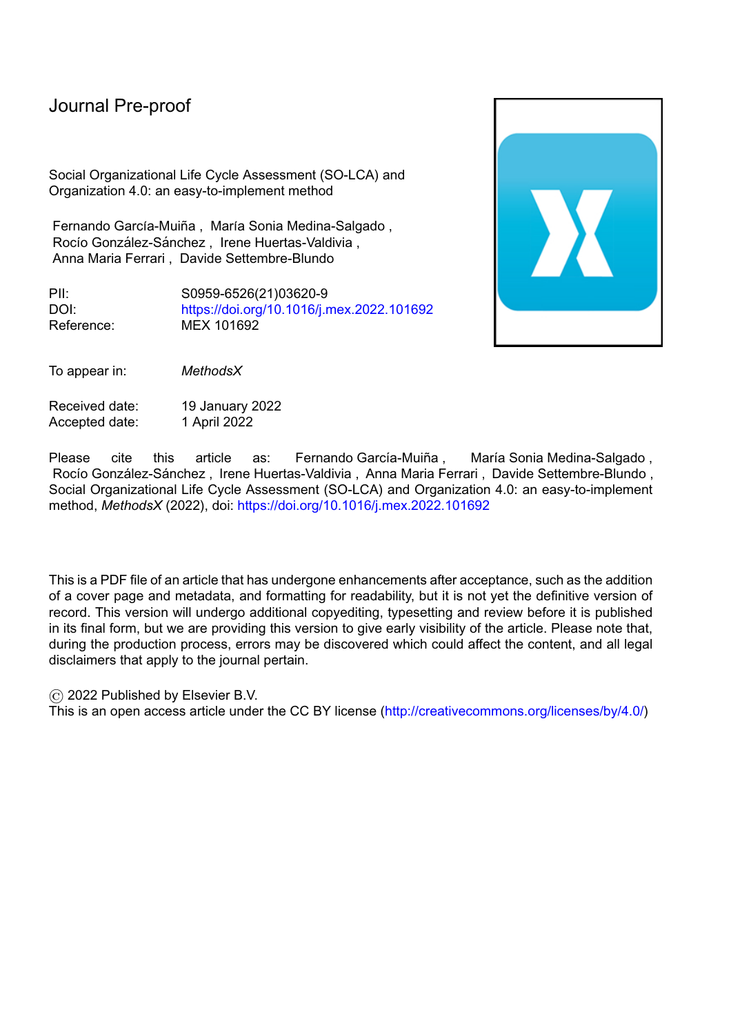0.5 (Gender Parity); > 0.1 (Migrant worker); 0.05 (Training); 0.1 (R&D workforce and innovation workforce).

Finally, for the child labor and forced labor indicators, only the best social performance corresponding to rating 1 is obviously allowed.

Each expert's attribution of the rating value for each social indicator was collected and the set of values obtained was then integrated by applying the following formula (1):

$$
(r)_i = \frac{\sum_{i=1}^n (e)_i}{n} \qquad (1)
$$

In the formula *(r)<sup>i</sup>* is the integrated value of the social indicator *i* obtained by summing the rating values attributed by the experts for the same indicator *(e)i*, while *n* is the number of experts who make up the committee (in this case 21). This provides a framework of normalized and comparable social indicators (Table 5).

The next step in impact assessment is to integrate the different social indicators to build social indexes corresponding to the different subcategories and categories of social impact. In this method, integration is carried out through weighted aggregation of the indicators [20]. In this way, it is possible to overcome the limitation of assigning equivalent weights in the weighting for S-LCA studies, as highlighted in the literature in cases of lack of primary data. Since this method relies on the use of primary data and specific metrics, the committee experts were asked to assign a weight (expressed in %) for each indicator in order to achieve a weighted aggregation by applying the following formula (2):

$$
(s)_i = \sum_{i=1}^m (r)_i \times w_i \tag{2}
$$

In the formula, *(s)<sup>i</sup>* is the aggregate Social Index by subcategory or impact category *i*, while *(r)<sup>i</sup>* are the social indicators, *w<sup>i</sup>* is the weight (%) given by the committee experts, and finally *m* is the number of subcategories or impact categories.

The operations described above that determine the social rating values shown in Table 5 are intended to standardize the indicators and make it easier to read and compare them with each other. Otherwise, there would be no comprehensive view of the organization's social performance.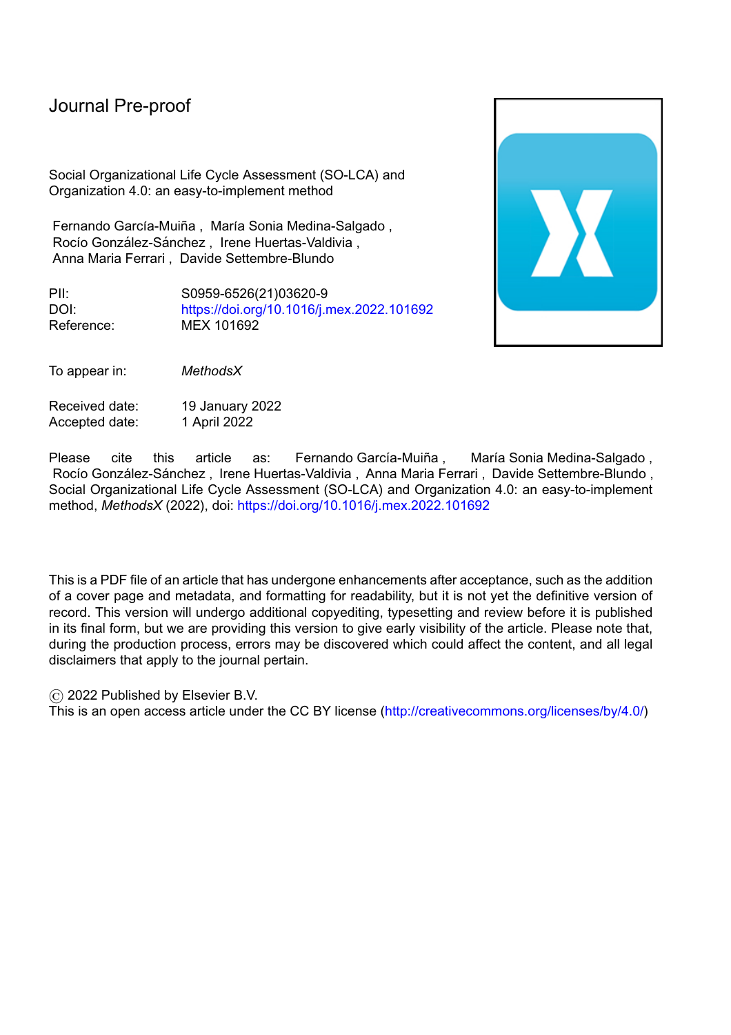# **Table 6**

Evaluation and rating of Social Indexes, adapted from [8].

### **(a)**

| SOCIAL IMPACT ASSESSMET INDICATORS                   |      | <b>INDICATOR</b><br><b>WEIGHT</b> | <b>IMPACT</b><br><b>SUBCATEGORIES</b> | <b>MIDPOINT INDEXES</b> |               | <b>INDEX</b><br><b>WEIGHT</b> | <b>IMPACT CATEGORIES</b>   | <b>ENDPOINT INDEXES</b> |
|------------------------------------------------------|------|-----------------------------------|---------------------------------------|-------------------------|---------------|-------------------------------|----------------------------|-------------------------|
| $SI-A1.1$<br>Gender Equality                         |      | 20%                               |                                       |                         |               |                               |                            |                         |
| <b>Childhood Workforce</b><br>$SI-A1.2$              | 100% | 35%                               | A1.Human Rights                       | 0.95                    |               | 30%                           |                            |                         |
| $SI-A1.3$<br>Forced Labour                           |      | 35%                               |                                       |                         |               |                               |                            |                         |
| Migrant Worker<br>$SI-A1.4$                          |      | 10%                               |                                       |                         |               |                               |                            |                         |
| Lost Time Injury Frequency Rate (LTIFR)<br>$SI-A2.1$ | 100% | 80%                               | A2. Health & Safety                   | 0.80                    |               | 30%                           |                            |                         |
| Personal Protective Equipments (PPEs)<br>$SI-A2.2$   |      | 20%                               |                                       |                         | 100%          |                               | <b>AHuman Capital</b>      | 0.90                    |
| $SI-A3.1$<br>Collective Bargaining Agreement (CBA)   |      | 30%                               |                                       |                         |               |                               |                            |                         |
| $SI-A3.2$<br>Overtime Working Hours                  |      | 10%                               |                                       |                         |               |                               |                            |                         |
| $SI-A3.3$<br><b>Full-time Staff</b>                  | 100% | 20%                               | A3. Working<br><b>Conditions</b>      | 0.84                    |               | 40%                           |                            |                         |
| $SI-A3.4$<br>Local Workforce                         |      | 20%                               |                                       |                         |               |                               |                            |                         |
| $SI-A3.5$<br>Training                                |      | 20%                               |                                       |                         |               |                               |                            |                         |
| $SI-B1.1$<br>Stakeholders Engagement                 | 100% | 60%                               | <b>B1.Local</b>                       | 0.88                    |               | 30%                           |                            |                         |
| $SI-B1.2$<br><b>Public Engagement</b>                |      | 40%                               | <b>Expectations</b>                   |                         |               |                               |                            |                         |
| <b>University Engagement</b><br>$SI-B2.1$            | 100% | 60%                               | <b>B2.Institutional</b>               | 0.76                    |               | 20%                           |                            |                         |
| Regulatory Authorities Engagement<br>$SI-B2.2$       |      | 40%                               | Expectations                          |                         | 100%          |                               | <b>B.Social Capital</b>    | 0.64                    |
| $SI-B3.1$<br>Corporate Social Media Engagement       |      | 25%                               |                                       |                         |               |                               |                            |                         |
| <b>B2B Social Media Engagement</b><br>$SI-B3.2$      | 100% | 30%                               | <b>B3.Corporate</b><br>Reputation     | 0.44                    |               | 50%                           |                            |                         |
| <b>B2C Social Media Engagement</b><br>$SI-B3.3$      |      | 45%                               |                                       |                         | <b>Marine</b> |                               |                            |                         |
| $SI-C1.1$<br>Global Warming Potential (GWP)          | 100% | 100%                              | C1.Carbon Footprint                   | 0.87                    | 100%          | 100%                          | <b>C.Natural Capital</b>   | 0.87                    |
| $SI-D1.1$<br><b>B2B Non-compliance</b>               |      | 50%                               | D1.Customer                           |                         |               |                               |                            |                         |
| $SI-D1.2$<br><b>B2C Non-compliance</b>               | 100% | 50%                               | <b>Expectations</b>                   | 1.00                    |               | 40%                           |                            |                         |
| HR-based R&D Workforce<br>$SI-D2$ .                  |      | 20%                               |                                       |                         |               |                               |                            |                         |
| $SI-D2.2$<br><b>HR-based Innovation Workforce</b>    | 100% | 20%                               | D <sub>2</sub> . Private              | 0.64                    |               | 30%                           | <b>D.Economic</b>          |                         |
| $SI-D2.3$<br>R&D & Innovation                        |      | 60%                               | <b>Expectations</b>                   |                         | 100%          |                               |                            | 0.87                    |
| $SI-D3.1$<br>Order Approval Manager                  |      | 30%                               | <b>D3. Ethical Behavior</b>           |                         |               |                               | <b>Capital</b>             |                         |
| <b>Ethical Key Suppliers</b><br>$SI-D3.2$            |      | 20%                               |                                       |                         |               |                               |                            |                         |
| $SI-D3.3$<br>Local Suppliers                         | 100% | 25%                               |                                       | $U_0$                   |               | 30%                           |                            |                         |
| Local Suppliers Turnover<br>$SI-D3.4$                |      | 25%                               |                                       |                         |               |                               |                            |                         |
|                                                      |      |                                   |                                       |                         |               |                               | <b>TOTAL SOCIAL INDEX:</b> | 0.81                    |

 $(h)$ 

| $\mathcal{L}$<br>SOCIAL IMPACT ASSESSMET INDICATORS                                                                                                                                       | <b>INDICATOR</b><br><b>WEIGHT</b> |                                 | <b>IMPACT</b><br><b>SUBCATEGORIES</b>          | <b>MIDPOINT INDEXES</b> | <b>WEIGHT</b> | <b>INDEX</b> | <b>IMPACT CATEGORIES</b>   | <b>ENDPOINT INDEXES</b> |
|-------------------------------------------------------------------------------------------------------------------------------------------------------------------------------------------|-----------------------------------|---------------------------------|------------------------------------------------|-------------------------|---------------|--------------|----------------------------|-------------------------|
| $SI-A1.1$<br><b>Gender Equality</b><br>Childhood Workforce<br>$SI-A1.2$<br><b>Forced Labour</b><br>$SI-A1.3$<br>Migrant Worker<br>$SI-A1.4$                                               | 100%                              | 25%<br>35%<br>25%<br>15%        | A1.Human Rights                                | 0.94                    |               | 35%          |                            |                         |
| Lost Time Injury Frequency Rate (LTIFR)<br>$SI-A2.1$<br>Personal Protective Equipments (PPEs)<br>$SI-A2.2$                                                                                | 100%                              | 60%<br>40%                      | A2. Health & Safety                            | 0.80                    | 100%          | 40%          | <b>A.Human Capital</b>     | 0.87                    |
| Collective Bargaining Agreement (CBA)<br>$SI-A3.1$<br>Overtime Working Hours<br>$SI-A3.2$<br><b>Full-time Staff</b><br>$SI-A3.3$<br>Local Workforce<br>$SI-A3.4$<br>$SI-A3.5$<br>Training | 100%                              | 20%<br>10%<br>30%<br>25%<br>15% | A3. Working<br><b>Conditions</b>               | 0.88                    |               | 25%          |                            |                         |
| Stakeholders Engagement<br>$SI-B1.1$<br>Public Engagement<br>SI-B1.2                                                                                                                      | 100%                              | 70%<br>30%                      | <b>B1.Local</b><br>Expectations                | 0.86                    |               | 40%          |                            |                         |
| <b>University Engagement</b><br>$SI-B2.7$<br>$SI-B2.2$<br><b>Regulatory Authorities Engagement</b>                                                                                        | 100%                              | 50%<br>50%                      | <b>B2.Institutional</b><br>Expectations        | 0.77                    | 100%          | 20%          | <b>B.Social Capital</b>    | 0.67                    |
| Corporate Social Media Engagement<br>$SI-B3.1$<br><b>B2B Social Media Engagement</b><br>$SI-B3.2$<br><b>B2C Social Media Engagement</b><br>$SI-B3.3$                                      | 100%                              | 20%<br>35%<br>45%               | <b>B3.Corporate</b><br>Reputation              | 0.43                    |               | 40%          |                            |                         |
| $SI-C1.1$<br>Global Warming Potential (GWP)                                                                                                                                               | 100%                              | 100%                            | C1.Carbon Footprint                            | 0.87                    | 100%          | 100%         | <b>C.Natural Capital</b>   | 0.87                    |
| $SI-D1$<br><b>B2B Non-compliance</b><br><b>B2C Non-compliance</b><br>$SI-D1.2$                                                                                                            | 100%                              | 60%<br>40%                      | D1.Customer<br><b>Expectations</b>             | 1.00                    |               | 50%          |                            |                         |
| HR-based R&D Workforce<br>$SI-D2$ .<br><b>HR-based Innovation Workforce</b><br>$SI-D2.2$<br>R&D & Innovation<br>$SI-D2.3$                                                                 | 100%                              | 25%<br>25%<br>50%               | D <sub>2</sub> .Private<br><b>Expectations</b> | 0.62                    | 100%          | 20%          | <b>D.Economic</b>          | 0.89                    |
| $SI-D3.1$<br>Order Approval Manager<br><b>Ethical Key Suppliers</b><br>$SI-D3.2$<br>SI-D3.3 Local Suppliers<br>SI-D3.4 Local Suppliers Turnover                                           | 100%                              | 15%<br>25%<br>30%<br>30%        | <b>D3. Ethical Behavior</b>                    | 0.90                    |               | 30%          | Capital                    |                         |
|                                                                                                                                                                                           |                                   |                                 |                                                |                         |               |              | <b>TOTAL SOCIAL INDEX:</b> | 0.83                    |

Table 6 (a) shows the complete picture of the Social Indexes attributed for each subcategory and impact category correlated with the corresponding subcategories and stakeholder categories. With a simple mathematical average of the endpoint indexes, it is also possible to obtain the Total Social Index. In order to verify the degree of decision uncertainty the same expert panel was asked to give an assessment of the weighting of the indicators six months after the first analysis. Table 6 (b) shows that the new results are quite similar to those obtained previously, thus demonstrating the reproducibility of the scores. Clearly, this framework reflects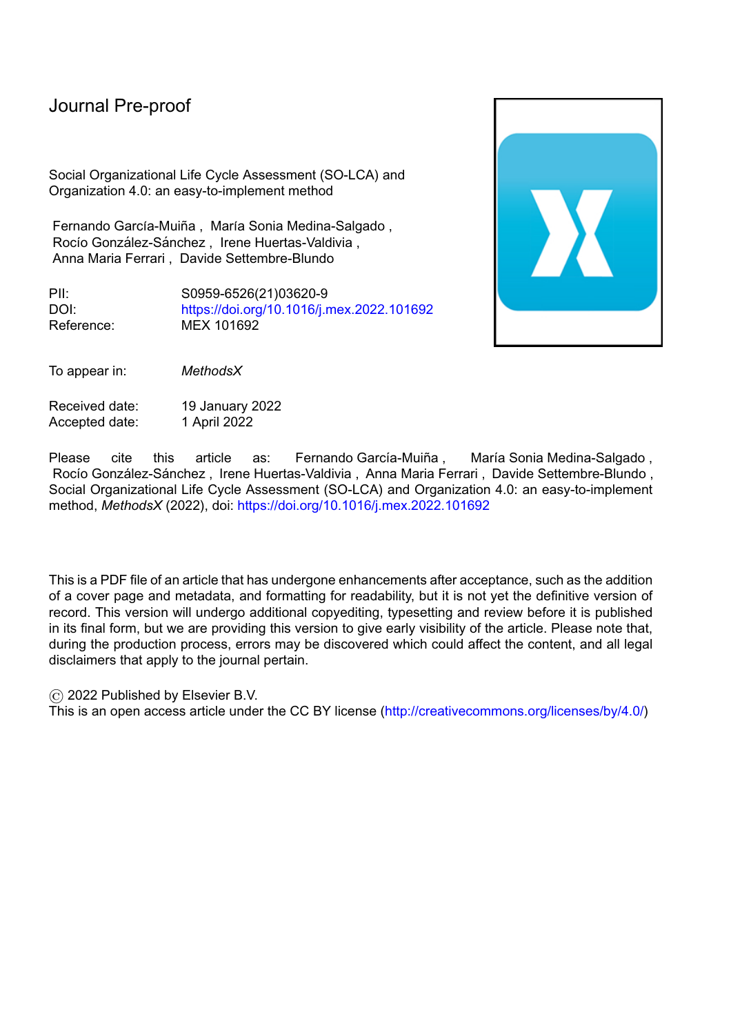# the organization of the experimental-scientific committee. However, between the absolute  $\mathsf{ad}$

in this case, which served to demonstrate the easy application of the method, the weights and weighting criteria can be easily tailored to the different contexts in which this method may be replicated. For example, to neutralize the potential conflict of interest of the panel of experts, all of whom belong to the same organization, the choice of weights for weighting could be made by engaging some of the key stakeholders for each impact category who could join the Committee by providing an interpretive perspective from outside the organization.

In order to facilitate the validation of the method, the values assumed by the different sustainability indices (Table 6) were  $\mathcal{B}[\cdot],$ \*' MåÁ $\mathcal{A}$ Ó Á $\mathcal{A}$ áå $\mathcal{A}$ @a $\mathcal{A}$  M $\mathcal{A}$   $\mathcal{A}$  @  $\mathcal{B}$  Me  $\mathcal{A}$  | \* $\mathcal{A}$   $\mathcal{B}$  a and  $\mathcal{A}[\cdot]$  Misse  $\mathcal{B}$   $\mathcal{A}$   $\mathcal{B}$  and  $\mathcal{B}$   $\mathcal{B}$   $\mathcal{B}$   $\mathcal{B}$   $\mathcal{B}$   $\$ perspective of Life Cycle Thinking [21].

# **Figure 2**

Trend of social impact along the organization's value chain, adapted from [8].



In Figure 2, the social impacts are represented by the values assumed by the midpoint indices for each subcategory of social impact. Therefore, in the case of the organization that was analyzed to show the effectiveness of the method, it appears that the social performance is excellent (almost all of them close to the maximum value 1), moreover, areas of possible improvement also emerge, namely Private Expectations and Corporate Reputation.

### **CONCLUSION**

Considering the need to effectively implement the SO-LCA to support sustainability decision-makers [7], this method proposes an implementation protocol for Social Organizational Life Cycle Assessment (SO-LCA) based on the guidelines provided by UNEP and tested in a manufacturing environment. The approach followed by the proposed method served to fill the main gap highlighted in the literature, namely the lack of primary, site-specific social data that forces the use of general secondary data sources. The method solves these critical aspects by identifying a set of social metrics native to the analyzed organization that, combined into indicators and indices, provide the extent of social impact with respect to different categories and subcategories of stakeholders. The method also demonstrates the great potential of Industry 4.0 technologies to enable social assessment. The inventory analysis was conducted by querying the organization's ERP, which also made primary social data available in real time for a dynamic social impact assessment. It follows that the Industry 4.0 operating model, specific to the factory environment, can support the transition from a traditional organization to a data-driven Organization 4.0. On the other hand, in the case of organizations with a lower level of digitization of their operations than expected by the Industry 4.0 paradigm, the method can be equally successfully applied. Table 7 schematically shows the difference between the two approaches: the digitization of the organization enables the dynamic, real-time collection of primary data while also supporting its processing; in a still analog operating environment, data collection is instead conducted manually using business information from past periods, or from secondary sources.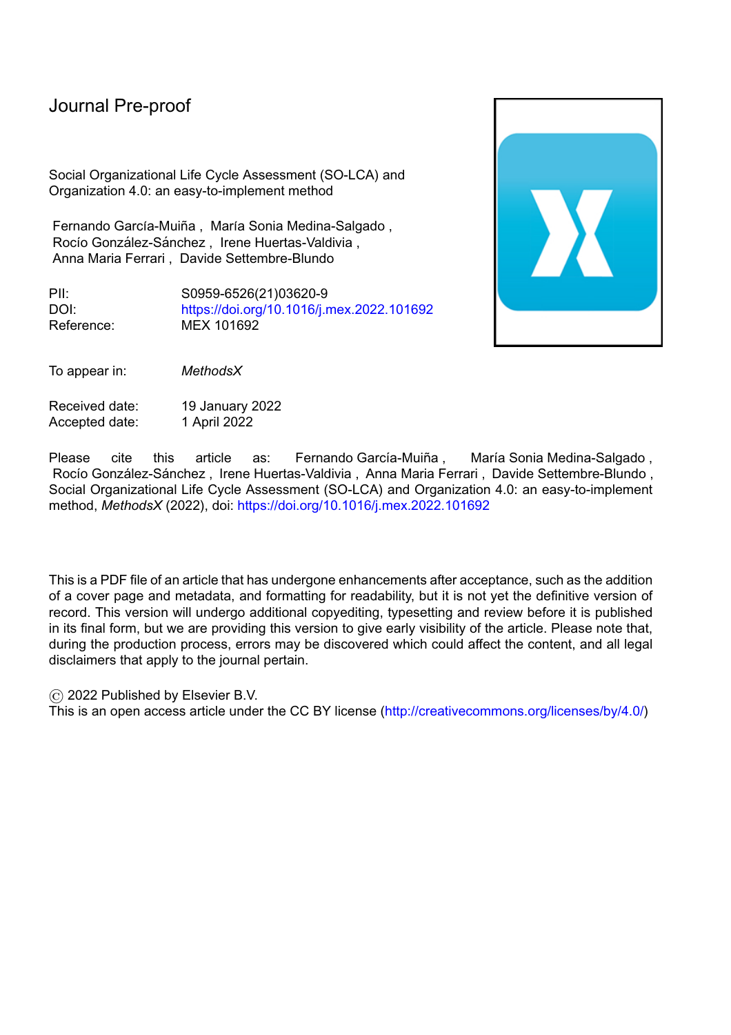# The proposed method can help organizations to analyze the interproposed method  $\mathbf{s},$

areas and ways of improvement. Moreover, the data obtained, in a perspective of accountability, can be used to communicate and dialogue with stakeholders in a more transparent way, considering their expectations in decision-making processes.

# **Table 7**

Steps in the social assessment of organizations with different digital maturity.

| N <sup>o</sup> | <b>SO-LCA STEPS</b>                          | <b>ORGANIZATION 4.0</b>                                     | <b>ORGANIZATION 2.0</b>                                     |
|----------------|----------------------------------------------|-------------------------------------------------------------|-------------------------------------------------------------|
|                | Technical-scientific committee constitution. | Executed by the decision makers<br>supported by the analyst | Executed by the decision makers<br>supported by the analyst |
| $\mathfrak{p}$ | Goal and scope definition.                   | Performed by the analyst and driven by<br>the data          | Performed by the analyst                                    |
| 3              | Social inventory analysis.                   | Dynamic and real-time data collection                       | Static and retrospective data collection                    |
| 4              | Social impact assessment.                    | Automatic processing                                        | Manual processing                                           |
| 5              | <b>Results Interpretation.</b>               | Supported by business intelligence                          | Performed by the analyst                                    |

## **Acronyms**

**BI:** Business Intelligence **B-level:** mid-level managers **CBAs:** Collective Bargaining Agreements **C-level:** executive-level managers **ERP:** Enterprise Resource Planning **LCA:** Life Cycle Assessment **MES:** Manufacturing Execution System **PPEs:** Personal Protective Equipments **S-LCA:** Social Life Cycle Assessment **SO-LCA:** Social Organizational Life Cycle Assessment **UNEP:** United Nations Environmental Programme

# **Acknowledgments**

This research was co-funded by the European Union under the LIFE Program, grant number: LIFE16ENV/IT/000307 (LIFE Force of the Future).

# **CRediT authorship contribution statement**

*Fernando García-Muiña*: Investigation, Writing . original draft. *María Sonia Medina-Salgado*: Methodology, Project administration. *Rocío González-Sánchez*: Formal analysis, Validation. *Irene Huertas-Valdivia*: Resources. *Anna Maria Ferrari*: Supervision. *Davide*  Settembre-Blundo: Conceptualization, Writing . original draft.

### **Declaration of competing interest**

The authors declare that they have no known competing financial interests or personal relationships that could have appeared to influence the work reported in this paper.

### **References**

- (1) Pollok. L.. Spierling. S.. Endres. H. J.. & Grote. U. (2021). Social Life Cycle Assessments: A Review on Past Development. Advances and Methodological Challenges. *Sustainability*. *13*(18). 10286. https://doi.org/10.3390/su131810286
- (2) Diaz-Elsayed. N.. & Zhang. Q. (2020). Extracting the characteristics of life cycle assessments via data mining. *MethodsX*. *7*. 101004. https://doi.org/10.1016/j.mex.2020.101004
- (3) W. Achten. J. Barbeau-Baril. B. Barros Telles Do Carmo. P. Bolt. V. Chandola. B. Corona Bellostas. Y. Dadhish. M. Di Eusanio. S. Di Cesare. C. Di Noi. F. Eisfeldt. J. Hanafi. B. Heller. D. Indrane. Saenz Jimenez. Paula Maria. A. Malik. L. Mancini. R. Mankaa. B. Mazijn. L. Petti. S. Sureau. C. Tapia. C. Teran. C. Ugaya. M. Vuaillat. A. Wangel. A. Zamagni. S. Zira. Guidelines for Social Life Cycle Assessment of Products and Organizations. United Nations Environment Programme (UNEP). Paris (2020). p. 138. https://www.lifecycleinitiative.org/library/guidelines-for-social-life-cycle-assessment-ofproducts-and-organisations-2020/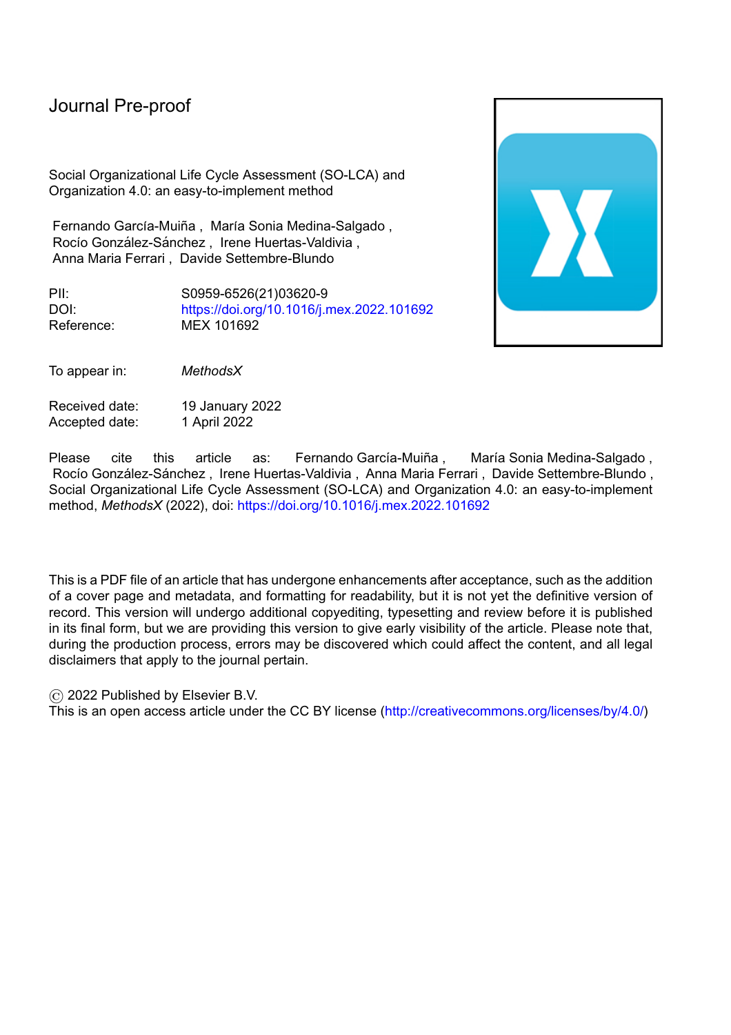# $\alpha$ . Zamagni. A.. Zanchi. L.. Cesare. S. D.. Silveri. Silveri. Theory and Practice on Social Life Cycle

Assessment. In *Life Cycle Engineering and Management of Products* (pp. 143-168). Springer. Cham. https://doi.org/10.1007/978-3-030-78044-9\_7 Cycle Engineering

- (5) Gompf. K.. Traverso. M.. & Hetterich. J. (2021). Using Analytical Hierarchy Process (AHP) to Introduce Weights to Social Life Cycle Assessment of Mobility Services. *Sustainability*. *13*(3). 1258. https://doi.org/10.3390/su13031258
- (6) Martínez-Blanco. J.. Lehmann. A.. Chang. YJ. *et al.* Social organizational LCA (SOLCA)²a new approach for implementing social LCA. Int J Life Cycle Assess 20. 1586. 1599 (2015). https://doi.org/10.1007/s11367-015-0960-1
- (7)  $\ddot{O}$ ( $\ddot{O}$ )  $\ddot{O}$   $\ddot{O}$  a) 4. Lehmann. A.. Finkbeiner. M. *et al.* Social Organizational Life Cycle Assessment: an approach for identification of relevant subcategories for wine production in Italy. *Int J Life Cycle Assess* 25. 1119. 1132 (2020). https://doi.org/10.1007/s11367-020-01746-4
- (8) García-Muiña. F.. Medina-Salgado. M. S.. González-Sánchez. R.. Huertas-Valdivia. I.. Ferrari. A. M.. & Settembre-Blundo. D. (2021). Industry 4.0-based dynamic Social Organizational Life Cycle Assessment to target the social circular economy in manufacturing. *Journal of Cleaner Production*. *327*. 129439. https://doi.org/10.1016/j.jclepro.2021.129439
- (9) Ghouri. A. M.. Mani. V.. Jiao. Z.. Venkatesh. V. G.. Shi. Y.. & Kamble. S. S. (2021). An empirical study of real-time information-receiving using industry 4.0 technologies in downstream operations. *Technological Forecasting and Social Change*. *165*. 120551. https://doi.org/10.1016/j.techfore.2020.120551
- (10) Onghena. P.. Maes. B.. & Heyvaert. M. (2019). Mixed methods single case research: State of the art and future directions. *Journal of mixed methods research*. *13*(4). 461-480. https://doi.org/10.1177/1558689818789530
- (11) Appolloni. A.. D'Adamo. I.. Gastaldi. M.. Yazdani. M. & Settembre-Blundo. D. (2021). "Reflective backward analysis to assess the operational performance and eco-efficiency of two industrial districts". *International Journal of Productivity and Performance Management*. Vol. ahead-of-print No. ahead-of-print. https://doi.org/10.1108/IJPPM-08-2021-0442
- (12) Settembre-Blundo. D.. González-Sánchez. R.. Medina-Salgado. S.. & García-Muiña. F. E. (2021). Flexibility and resilience in corporate decision making: A new sustainability-based risk management system in uncertain times. *Global Journal of Flexible Systems Management*. *22*(2). 107-132. https://doi.org/10.1007/s40171-021-00277-7
- (13) Goldman. G.. & Callaghan. C. W. (2015). A holistic synthesis of the organisation theories. *Journal of intercultural Management*. *7*(4). 5-19. https://doi.org/10.1515/joim-2015-0027
- (14) Theodoraki. C.. Messeghem. K.. & Rice. M. P. (2018). A social capital approach to the development of sustainable entrepreneurial ecosystems: an explorative study. *Small Business Economics*. *51*(1). 153-170. https://doi.org/10.1007/s11187-017-9924-0
- (15) Tzachor. A. (2020). A capital theory approach should guide national sustainability policies. *Cambridge Journal of Science & Policy. 1*(1). 21-32. https://www.cuspe.org/wp-content/uploads/2020/07/6\_v1\_1\_Persp\_Tsachor.pdf
- (16) Visentin. C.. da Silva Trentin. A. W.. Braun. A. B.. & Thomé. A. (2021). Social life cycle assessment of the nanoscale zero-valent iron synthesis process for application in contaminated site remediation. *Environmental Science and Pollution Research*. 1-18. https://doi.org/10.1007/s11356-021-17319-3
- (17) Hossain. M. U.. Poon. C. S.. Dong. Y. H.. Lo. I. M.. & Cheng. J. C. (2018). Development of social sustainability assessment method and a comparative case study on assessing recycled construction materials. *The International Journal of Life Cycle Assessment*. *23*(8). 1654-1674. https://link.springer.com/article/https://doi.org/10.1007/s11367-017- 1373-0
- (18) Joshi A. Kale S. Chandel S. & Pal DK (2015). Likert scale: explored and explained. *British Journal of Appl Sci Techn* 7:396±403. https://doi.org/10.9734/bjast/2015/14975
- (19) Harpe. S. E. (2015). How to analyze Likert and other rating scale data. *Currents in pharmacy teaching and learning*. *7*(6). 836-850. https://doi.org/10.1016/j.cptl.2015.08.001
- (20) Naghshineh, B., Lourenço, F., Godina, R., Jacinto, C., & Carvalho, H. (2020). A social life cycle assessment framework for additive manufacturing products. *Applied Sciences*, *10*(13), 4459. https://doi.org/10.3390/app10134459
- (21)  $\text{CE}$ ;  $\tilde{\mathcal{X}}$  and  $\tilde{\mathcal{X}}$  and  $\tilde{\mathcal{X}}$  and  $\tilde{\mathcal{X}}$  and  $\tilde{\mathcal{X}}$  and  $\tilde{\mathcal{X}}$  and  $\tilde{\mathcal{X}}$  and  $\tilde{\mathcal{X}}$  and  $\tilde{\mathcal{X}}$  and  $\tilde{\mathcal{X}}$  and  $\tilde{\mathcal{X}}$  and  $\tilde{\mathcal{X}}$  and  $\tilde{\mathcal{X}}$  and Social Life Cycle Assessment: A Discussion. In: Traverso M., Petti L., Zamagni A. (eds) Perspectives on Social LCA. SpringerBriefs in Environmental Science. Springer, Cham. https://doi.org/10.1007/978-3-030-01508-4\_1